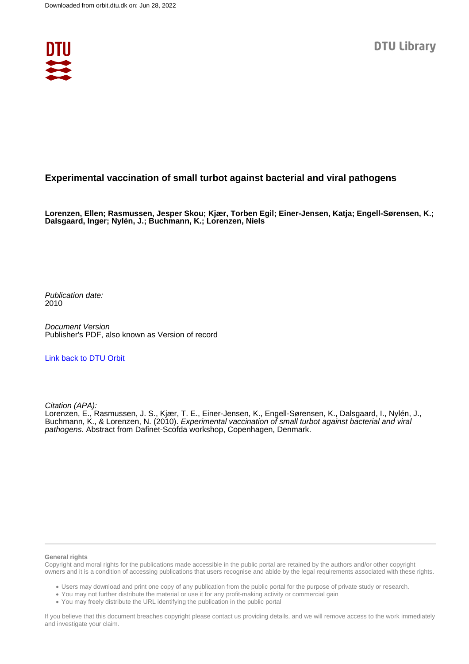

## **Experimental vaccination of small turbot against bacterial and viral pathogens**

**Lorenzen, Ellen; Rasmussen, Jesper Skou; Kjær, Torben Egil; Einer-Jensen, Katja; Engell-Sørensen, K.; Dalsgaard, Inger; Nylén, J.; Buchmann, K.; Lorenzen, Niels**

Publication date: 2010

Document Version Publisher's PDF, also known as Version of record

[Link back to DTU Orbit](https://orbit.dtu.dk/en/publications/cab6adc8-f0ac-44bd-a6a2-74b190269b26)

Citation (APA):

Lorenzen, E., Rasmussen, J. S., Kjær, T. E., Einer-Jensen, K., Engell-Sørensen, K., Dalsgaard, I., Nylén, J., Buchmann, K., & Lorenzen, N. (2010). Experimental vaccination of small turbot against bacterial and viral pathogens. Abstract from Dafinet-Scofda workshop, Copenhagen, Denmark.

## **General rights**

Copyright and moral rights for the publications made accessible in the public portal are retained by the authors and/or other copyright owners and it is a condition of accessing publications that users recognise and abide by the legal requirements associated with these rights.

Users may download and print one copy of any publication from the public portal for the purpose of private study or research.

- You may not further distribute the material or use it for any profit-making activity or commercial gain
- You may freely distribute the URL identifying the publication in the public portal

If you believe that this document breaches copyright please contact us providing details, and we will remove access to the work immediately and investigate your claim.